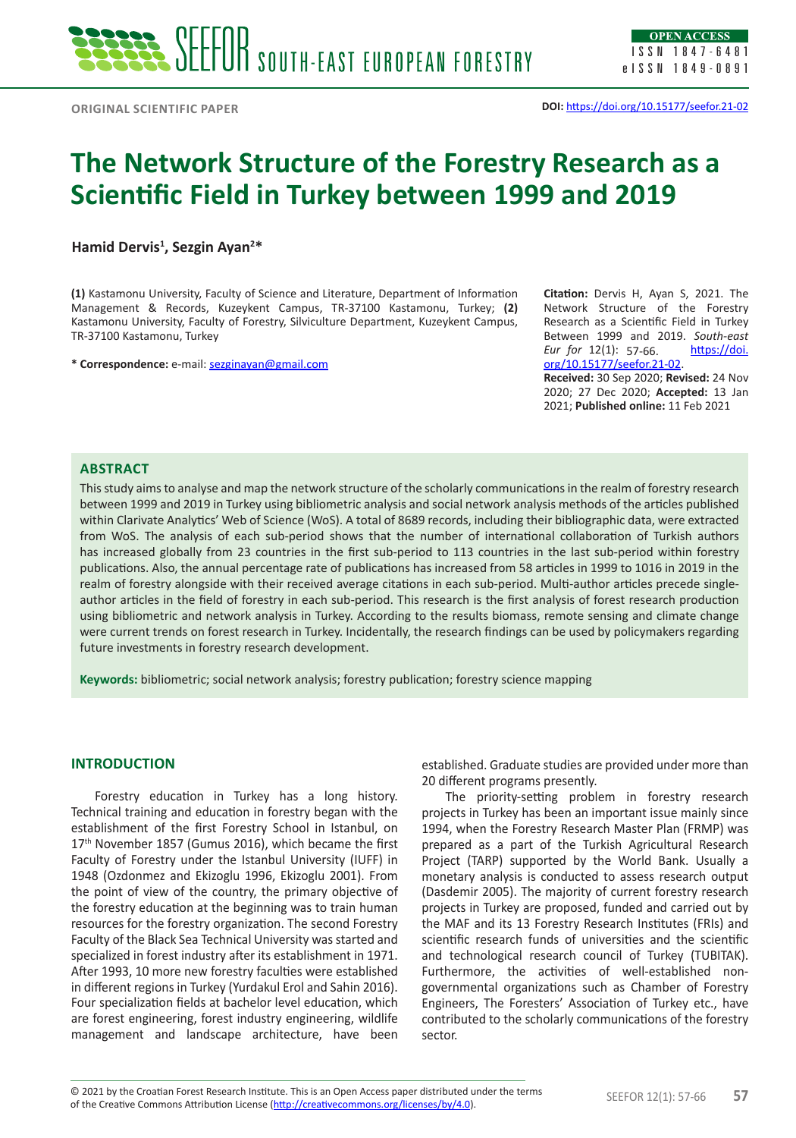# **The Network Structure of the Forestry Research as a Scientific Field in Turkey between 1999 and 2019**

**Hamid Dervis1 , Sezgin Ayan2 \***

**(1)** Kastamonu University, Faculty of Science and Literature, Department of Information Management & Records, Kuzeykent Campus, TR-37100 Kastamonu, Turkey; **(2)**  Kastamonu University, Faculty of Forestry, Silviculture Department, Kuzeykent Campus, TR-37100 Kastamonu, Turkey

**\* Correspondence:** e-mail: sezginayan@gmail.com

**Citation:** Dervis H, Ayan S, 2021. The Network Structure of the Forestry Research as a Scientific Field in Turkey Between 1999 and 2019. *South-east Eur for* 12(1): 57-66. **https://doi.** org/10.15177/seefor.21-02.

**Received:** 30 Sep 2020; **Revised:** 24 Nov 2020; 27 Dec 2020; **Accepted:** 13 Jan 2021; **Published online:** 11 Feb 2021

# **ABSTRACT**

**EXERCISE SECTION SUITE (AST EUROPEAN FORESTENT FIRED SECTION 1997)**<br>
CONSINUES SECTION CONTROL CONTROL CONTROL CONTROL CONTROL CONTROL CONTROL CONTROL CONTROL CONTROL CONTROL CONTROL CONTROL CONTROL CONTROL CONTROL CONTR This study aims to analyse and map the network structure of the scholarly communications in the realm of forestry research between 1999 and 2019 in Turkey using bibliometric analysis and social network analysis methods of the articles published within Clarivate Analytics' Web of Science (WoS). A total of 8689 records, including their bibliographic data, were extracted from WoS. The analysis of each sub-period shows that the number of international collaboration of Turkish authors has increased globally from 23 countries in the first sub-period to 113 countries in the last sub-period within forestry publications. Also, the annual percentage rate of publications has increased from 58 articles in 1999 to 1016 in 2019 in the realm of forestry alongside with their received average citations in each sub-period. Multi-author articles precede singleauthor articles in the field of forestry in each sub-period. This research is the first analysis of forest research production using bibliometric and network analysis in Turkey. According to the results biomass, remote sensing and climate change were current trends on forest research in Turkey. Incidentally, the research findings can be used by policymakers regarding future investments in forestry research development.

**Keywords:** bibliometric; social network analysis; forestry publication; forestry science mapping

# **INTRODUCTION**

Forestry education in Turkey has a long history. Technical training and education in forestry began with the establishment of the first Forestry School in Istanbul, on 17<sup>th</sup> November 1857 (Gumus 2016), which became the first Faculty of Forestry under the Istanbul University (IUFF) in 1948 (Ozdonmez and Ekizoglu 1996, Ekizoglu 2001). From the point of view of the country, the primary objective of the forestry education at the beginning was to train human resources for the forestry organization. The second Forestry Faculty of the Black Sea Technical University was started and specialized in forest industry after its establishment in 1971. After 1993, 10 more new forestry faculties were established in different regions in Turkey (Yurdakul Erol and Sahin 2016). Four specialization fields at bachelor level education, which are forest engineering, forest industry engineering, wildlife management and landscape architecture, have been established. Graduate studies are provided under more than 20 different programs presently.

The priority-setting problem in forestry research projects in Turkey has been an important issue mainly since 1994, when the Forestry Research Master Plan (FRMP) was prepared as a part of the Turkish Agricultural Research Project (TARP) supported by the World Bank. Usually a monetary analysis is conducted to assess research output (Dasdemir 2005). The majority of current forestry research projects in Turkey are proposed, funded and carried out by the MAF and its 13 Forestry Research Institutes (FRIs) and scientific research funds of universities and the scientific and technological research council of Turkey (TUBITAK). Furthermore, the activities of well-established nongovernmental organizations such as Chamber of Forestry Engineers, The Foresters' Association of Turkey etc., have contributed to the scholarly communications of the forestry sector.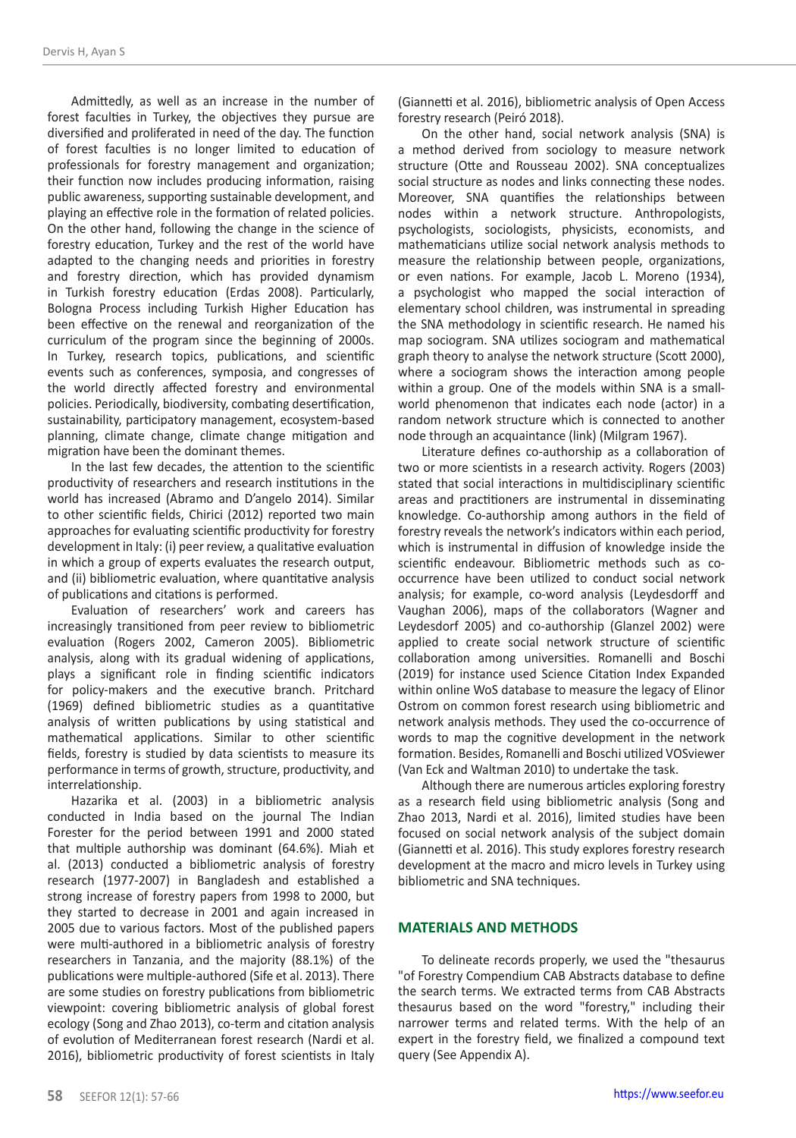Admittedly, as well as an increase in the number of forest faculties in Turkey, the objectives they pursue are diversified and proliferated in need of the day. The function of forest faculties is no longer limited to education of professionals for forestry management and organization; their function now includes producing information, raising public awareness, supporting sustainable development, and playing an effective role in the formation of related policies. On the other hand, following the change in the science of forestry education, Turkey and the rest of the world have adapted to the changing needs and priorities in forestry and forestry direction, which has provided dynamism in Turkish forestry education (Erdas 2008). Particularly, Bologna Process including Turkish Higher Education has been effective on the renewal and reorganization of the curriculum of the program since the beginning of 2000s. In Turkey, research topics, publications, and scientific events such as conferences, symposia, and congresses of the world directly affected forestry and environmental policies. Periodically, biodiversity, combating desertification, sustainability, participatory management, ecosystem-based planning, climate change, climate change mitigation and migration have been the dominant themes.

In the last few decades, the attention to the scientific productivity of researchers and research institutions in the world has increased (Abramo and D'angelo 2014). Similar to other scientific fields, Chirici (2012) reported two main approaches for evaluating scientific productivity for forestry development in Italy: (i) peer review, a qualitative evaluation in which a group of experts evaluates the research output, and (ii) bibliometric evaluation, where quantitative analysis of publications and citations is performed.

Evaluation of researchers' work and careers has increasingly transitioned from peer review to bibliometric evaluation (Rogers 2002, Cameron 2005). Bibliometric analysis, along with its gradual widening of applications, plays a significant role in finding scientific indicators for policy-makers and the executive branch. Pritchard (1969) defined bibliometric studies as a quantitative analysis of written publications by using statistical and mathematical applications. Similar to other scientific fields, forestry is studied by data scientists to measure its performance in terms of growth, structure, productivity, and interrelationship.

Hazarika et al. (2003) in a bibliometric analysis conducted in India based on the journal The Indian Forester for the period between 1991 and 2000 stated that multiple authorship was dominant (64.6%). Miah et al. (2013) conducted a bibliometric analysis of forestry research (1977-2007) in Bangladesh and established a strong increase of forestry papers from 1998 to 2000, but they started to decrease in 2001 and again increased in 2005 due to various factors. Most of the published papers were multi-authored in a bibliometric analysis of forestry researchers in Tanzania, and the majority (88.1%) of the publications were multiple-authored (Sife et al. 2013). There are some studies on forestry publications from bibliometric viewpoint: covering bibliometric analysis of global forest ecology (Song and Zhao 2013), co-term and citation analysis of evolution of Mediterranean forest research (Nardi et al. 2016), bibliometric productivity of forest scientists in Italy (Giannetti et al. 2016), bibliometric analysis of Open Access forestry research (Peiró 2018).

On the other hand, social network analysis (SNA) is a method derived from sociology to measure network structure (Otte and Rousseau 2002). SNA conceptualizes social structure as nodes and links connecting these nodes. Moreover, SNA quantifies the relationships between nodes within a network structure. Anthropologists, psychologists, sociologists, physicists, economists, and mathematicians utilize social network analysis methods to measure the relationship between people, organizations, or even nations. For example, Jacob L. Moreno (1934), a psychologist who mapped the social interaction of elementary school children, was instrumental in spreading the SNA methodology in scientific research. He named his map sociogram. SNA utilizes sociogram and mathematical graph theory to analyse the network structure (Scott 2000), where a sociogram shows the interaction among people within a group. One of the models within SNA is a smallworld phenomenon that indicates each node (actor) in a random network structure which is connected to another node through an acquaintance (link) (Milgram 1967).

Literature defines co-authorship as a collaboration of two or more scientists in a research activity. Rogers (2003) stated that social interactions in multidisciplinary scientific areas and practitioners are instrumental in disseminating knowledge. Co-authorship among authors in the field of forestry reveals the network's indicators within each period, which is instrumental in diffusion of knowledge inside the scientific endeavour. Bibliometric methods such as cooccurrence have been utilized to conduct social network analysis; for example, co-word analysis (Leydesdorff and Vaughan 2006), maps of the collaborators (Wagner and Leydesdorf 2005) and co-authorship (Glanzel 2002) were applied to create social network structure of scientific collaboration among universities. Romanelli and Boschi (2019) for instance used Science Citation Index Expanded within online WoS database to measure the legacy of Elinor Ostrom on common forest research using bibliometric and network analysis methods. They used the co-occurrence of words to map the cognitive development in the network formation. Besides, Romanelli and Boschi utilized VOSviewer (Van Eck and Waltman 2010) to undertake the task.

Although there are numerous articles exploring forestry as a research field using bibliometric analysis (Song and Zhao 2013, Nardi et al. 2016), limited studies have been focused on social network analysis of the subject domain (Giannetti et al. 2016). This study explores forestry research development at the macro and micro levels in Turkey using bibliometric and SNA techniques.

### **MATERIALS AND METHODS**

To delineate records properly, we used the "thesaurus "of Forestry Compendium CAB Abstracts database to define the search terms. We extracted terms from CAB Abstracts thesaurus based on the word "forestry," including their narrower terms and related terms. With the help of an expert in the forestry field, we finalized a compound text query (See Appendix A).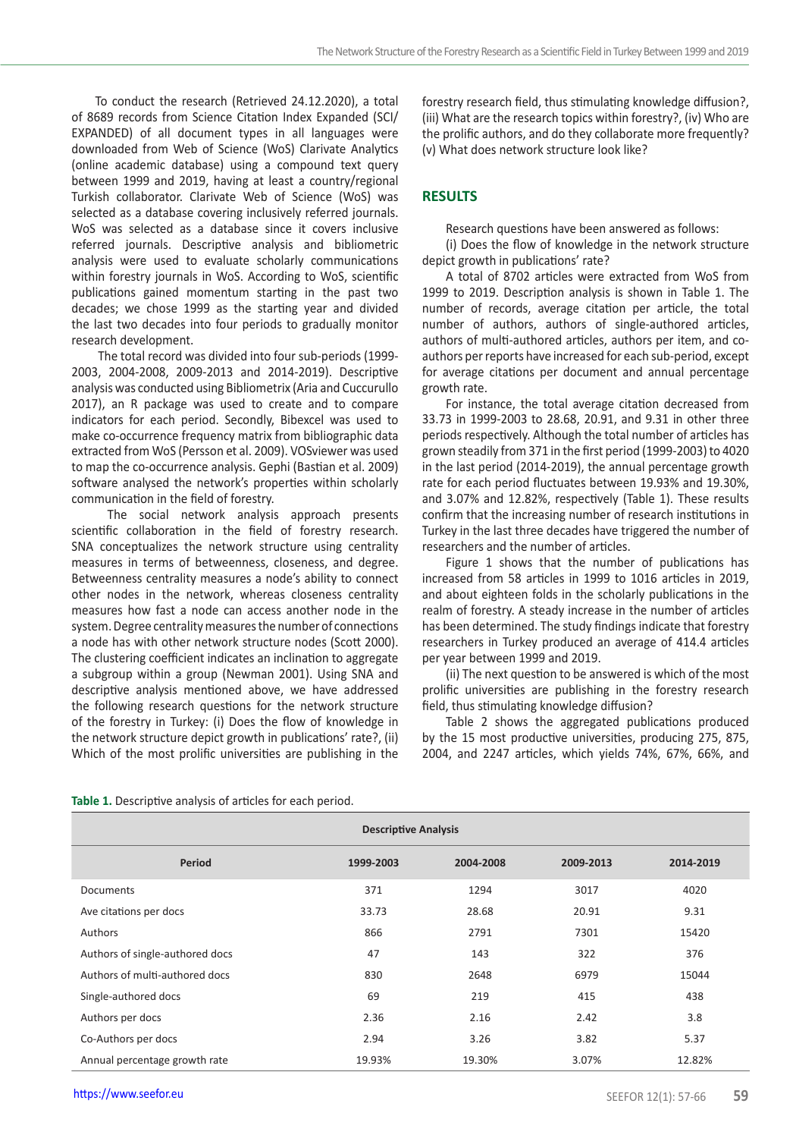## **RESULTS**

|  |  | Table 1. Descriptive analysis of articles for each period. |  |  |  |  |  |  |
|--|--|------------------------------------------------------------|--|--|--|--|--|--|
|--|--|------------------------------------------------------------|--|--|--|--|--|--|

| To conduct the research (Retrieved 24.12.2020), a total<br>of 8689 records from Science Citation Index Expanded (SCI/<br>EXPANDED) of all document types in all languages were<br>downloaded from Web of Science (WoS) Clarivate Analytics<br>(online academic database) using a compound text query<br>between 1999 and 2019, having at least a country/regional<br>Turkish collaborator. Clarivate Web of Science (WoS) was<br>selected as a database covering inclusively referred journals.<br>WoS was selected as a database since it covers inclusive<br>referred journals. Descriptive analysis and bibliometric<br>analysis were used to evaluate scholarly communications<br>within forestry journals in WoS. According to WoS, scientific<br>publications gained momentum starting in the past two<br>decades; we chose 1999 as the starting year and divided<br>the last two decades into four periods to gradually monitor<br>research development.<br>The total record was divided into four sub-periods (1999-<br>2003, 2004-2008, 2009-2013 and 2014-2019). Descriptive<br>analysis was conducted using Bibliometrix (Aria and Cuccurullo<br>2017), an R package was used to create and to compare<br>indicators for each period. Secondly, Bibexcel was used to<br>make co-occurrence frequency matrix from bibliographic data<br>extracted from WoS (Persson et al. 2009). VOSviewer was used<br>to map the co-occurrence analysis. Gephi (Bastian et al. 2009)<br>software analysed the network's properties within scholarly<br>communication in the field of forestry.<br>The social network analysis approach presents<br>scientific collaboration in the field of forestry research.<br>SNA conceptualizes the network structure using centrality<br>measures in terms of betweenness, closeness, and degree.<br>Betweenness centrality measures a node's ability to connect<br>other nodes in the network, whereas closeness centrality<br>measures how fast a node can access another node in the<br>system. Degree centrality measures the number of connections |                             | (iii) What are the research topics within forestry?, (iv) Who are<br>the prolific authors, and do they collaborate more frequently?<br>(v) What does network structure look like?<br><b>RESULTS</b><br>Research questions have been answered as follows:<br>(i) Does the flow of knowledge in the network structure<br>depict growth in publications' rate?<br>A total of 8702 articles were extracted from WoS from<br>1999 to 2019. Description analysis is shown in Table 1. The<br>number of records, average citation per article, the total<br>number of authors, authors of single-authored articles,<br>authors of multi-authored articles, authors per item, and co-<br>authors per reports have increased for each sub-period, except<br>for average citations per document and annual percentage<br>growth rate.<br>For instance, the total average citation decreased from<br>33.73 in 1999-2003 to 28.68, 20.91, and 9.31 in other three<br>periods respectively. Although the total number of articles has<br>grown steadily from 371 in the first period (1999-2003) to 4020<br>in the last period (2014-2019), the annual percentage growth<br>rate for each period fluctuates between 19.93% and 19.30%,<br>and 3.07% and 12.82%, respectively (Table 1). These results<br>confirm that the increasing number of research institutions in<br>Turkey in the last three decades have triggered the number of<br>researchers and the number of articles.<br>Figure 1 shows that the number of publications has<br>increased from 58 articles in 1999 to 1016 articles in 2019,<br>and about eighteen folds in the scholarly publications in the<br>realm of forestry. A steady increase in the number of articles<br>has been determined. The study findings indicate that forestry |                                                                                                                  |                     |    |  |  |
|-------------------------------------------------------------------------------------------------------------------------------------------------------------------------------------------------------------------------------------------------------------------------------------------------------------------------------------------------------------------------------------------------------------------------------------------------------------------------------------------------------------------------------------------------------------------------------------------------------------------------------------------------------------------------------------------------------------------------------------------------------------------------------------------------------------------------------------------------------------------------------------------------------------------------------------------------------------------------------------------------------------------------------------------------------------------------------------------------------------------------------------------------------------------------------------------------------------------------------------------------------------------------------------------------------------------------------------------------------------------------------------------------------------------------------------------------------------------------------------------------------------------------------------------------------------------------------------------------------------------------------------------------------------------------------------------------------------------------------------------------------------------------------------------------------------------------------------------------------------------------------------------------------------------------------------------------------------------------------------------------------------------------------------------------------------------------------------------|-----------------------------|---------------------------------------------------------------------------------------------------------------------------------------------------------------------------------------------------------------------------------------------------------------------------------------------------------------------------------------------------------------------------------------------------------------------------------------------------------------------------------------------------------------------------------------------------------------------------------------------------------------------------------------------------------------------------------------------------------------------------------------------------------------------------------------------------------------------------------------------------------------------------------------------------------------------------------------------------------------------------------------------------------------------------------------------------------------------------------------------------------------------------------------------------------------------------------------------------------------------------------------------------------------------------------------------------------------------------------------------------------------------------------------------------------------------------------------------------------------------------------------------------------------------------------------------------------------------------------------------------------------------------------------------------------------------------------------------------------------------------------------------------------------------------------------------------|------------------------------------------------------------------------------------------------------------------|---------------------|----|--|--|
| a node has with other network structure nodes (Scott 2000).<br>The clustering coefficient indicates an inclination to aggregate                                                                                                                                                                                                                                                                                                                                                                                                                                                                                                                                                                                                                                                                                                                                                                                                                                                                                                                                                                                                                                                                                                                                                                                                                                                                                                                                                                                                                                                                                                                                                                                                                                                                                                                                                                                                                                                                                                                                                           |                             | researchers in Turkey produced an average of 414.4 articles<br>per year between 1999 and 2019.                                                                                                                                                                                                                                                                                                                                                                                                                                                                                                                                                                                                                                                                                                                                                                                                                                                                                                                                                                                                                                                                                                                                                                                                                                                                                                                                                                                                                                                                                                                                                                                                                                                                                                    |                                                                                                                  |                     |    |  |  |
| a subgroup within a group (Newman 2001). Using SNA and<br>descriptive analysis mentioned above, we have addressed<br>the following research questions for the network structure<br>of the forestry in Turkey: (i) Does the flow of knowledge in                                                                                                                                                                                                                                                                                                                                                                                                                                                                                                                                                                                                                                                                                                                                                                                                                                                                                                                                                                                                                                                                                                                                                                                                                                                                                                                                                                                                                                                                                                                                                                                                                                                                                                                                                                                                                                           |                             | prolific universities are publishing in the forestry research<br>field, thus stimulating knowledge diffusion?                                                                                                                                                                                                                                                                                                                                                                                                                                                                                                                                                                                                                                                                                                                                                                                                                                                                                                                                                                                                                                                                                                                                                                                                                                                                                                                                                                                                                                                                                                                                                                                                                                                                                     | (ii) The next question to be answered is which of the most<br>Table 2 shows the aggregated publications produced |                     |    |  |  |
| the network structure depict growth in publications' rate?, (ii)<br>Which of the most prolific universities are publishing in the                                                                                                                                                                                                                                                                                                                                                                                                                                                                                                                                                                                                                                                                                                                                                                                                                                                                                                                                                                                                                                                                                                                                                                                                                                                                                                                                                                                                                                                                                                                                                                                                                                                                                                                                                                                                                                                                                                                                                         |                             | by the 15 most productive universities, producing 275, 875,<br>2004, and 2247 articles, which yields 74%, 67%, 66%, and                                                                                                                                                                                                                                                                                                                                                                                                                                                                                                                                                                                                                                                                                                                                                                                                                                                                                                                                                                                                                                                                                                                                                                                                                                                                                                                                                                                                                                                                                                                                                                                                                                                                           |                                                                                                                  |                     |    |  |  |
| Table 1. Descriptive analysis of articles for each period.                                                                                                                                                                                                                                                                                                                                                                                                                                                                                                                                                                                                                                                                                                                                                                                                                                                                                                                                                                                                                                                                                                                                                                                                                                                                                                                                                                                                                                                                                                                                                                                                                                                                                                                                                                                                                                                                                                                                                                                                                                | <b>Descriptive Analysis</b> |                                                                                                                                                                                                                                                                                                                                                                                                                                                                                                                                                                                                                                                                                                                                                                                                                                                                                                                                                                                                                                                                                                                                                                                                                                                                                                                                                                                                                                                                                                                                                                                                                                                                                                                                                                                                   |                                                                                                                  |                     |    |  |  |
| Period                                                                                                                                                                                                                                                                                                                                                                                                                                                                                                                                                                                                                                                                                                                                                                                                                                                                                                                                                                                                                                                                                                                                                                                                                                                                                                                                                                                                                                                                                                                                                                                                                                                                                                                                                                                                                                                                                                                                                                                                                                                                                    | 1999-2003                   | 2004-2008                                                                                                                                                                                                                                                                                                                                                                                                                                                                                                                                                                                                                                                                                                                                                                                                                                                                                                                                                                                                                                                                                                                                                                                                                                                                                                                                                                                                                                                                                                                                                                                                                                                                                                                                                                                         | 2009-2013                                                                                                        | 2014-2019           |    |  |  |
| Documents                                                                                                                                                                                                                                                                                                                                                                                                                                                                                                                                                                                                                                                                                                                                                                                                                                                                                                                                                                                                                                                                                                                                                                                                                                                                                                                                                                                                                                                                                                                                                                                                                                                                                                                                                                                                                                                                                                                                                                                                                                                                                 | 371                         | 1294                                                                                                                                                                                                                                                                                                                                                                                                                                                                                                                                                                                                                                                                                                                                                                                                                                                                                                                                                                                                                                                                                                                                                                                                                                                                                                                                                                                                                                                                                                                                                                                                                                                                                                                                                                                              | 3017                                                                                                             | 4020                |    |  |  |
| Ave citations per docs                                                                                                                                                                                                                                                                                                                                                                                                                                                                                                                                                                                                                                                                                                                                                                                                                                                                                                                                                                                                                                                                                                                                                                                                                                                                                                                                                                                                                                                                                                                                                                                                                                                                                                                                                                                                                                                                                                                                                                                                                                                                    | 33.73                       | 28.68                                                                                                                                                                                                                                                                                                                                                                                                                                                                                                                                                                                                                                                                                                                                                                                                                                                                                                                                                                                                                                                                                                                                                                                                                                                                                                                                                                                                                                                                                                                                                                                                                                                                                                                                                                                             | 20.91                                                                                                            | 9.31                |    |  |  |
| Authors                                                                                                                                                                                                                                                                                                                                                                                                                                                                                                                                                                                                                                                                                                                                                                                                                                                                                                                                                                                                                                                                                                                                                                                                                                                                                                                                                                                                                                                                                                                                                                                                                                                                                                                                                                                                                                                                                                                                                                                                                                                                                   | 866                         | 2791                                                                                                                                                                                                                                                                                                                                                                                                                                                                                                                                                                                                                                                                                                                                                                                                                                                                                                                                                                                                                                                                                                                                                                                                                                                                                                                                                                                                                                                                                                                                                                                                                                                                                                                                                                                              | 7301                                                                                                             | 15420               |    |  |  |
| Authors of single-authored docs                                                                                                                                                                                                                                                                                                                                                                                                                                                                                                                                                                                                                                                                                                                                                                                                                                                                                                                                                                                                                                                                                                                                                                                                                                                                                                                                                                                                                                                                                                                                                                                                                                                                                                                                                                                                                                                                                                                                                                                                                                                           | 47                          | 143                                                                                                                                                                                                                                                                                                                                                                                                                                                                                                                                                                                                                                                                                                                                                                                                                                                                                                                                                                                                                                                                                                                                                                                                                                                                                                                                                                                                                                                                                                                                                                                                                                                                                                                                                                                               | 322                                                                                                              | 376                 |    |  |  |
| Authors of multi-authored docs                                                                                                                                                                                                                                                                                                                                                                                                                                                                                                                                                                                                                                                                                                                                                                                                                                                                                                                                                                                                                                                                                                                                                                                                                                                                                                                                                                                                                                                                                                                                                                                                                                                                                                                                                                                                                                                                                                                                                                                                                                                            | 830                         | 2648                                                                                                                                                                                                                                                                                                                                                                                                                                                                                                                                                                                                                                                                                                                                                                                                                                                                                                                                                                                                                                                                                                                                                                                                                                                                                                                                                                                                                                                                                                                                                                                                                                                                                                                                                                                              | 6979                                                                                                             | 15044               |    |  |  |
| Single-authored docs                                                                                                                                                                                                                                                                                                                                                                                                                                                                                                                                                                                                                                                                                                                                                                                                                                                                                                                                                                                                                                                                                                                                                                                                                                                                                                                                                                                                                                                                                                                                                                                                                                                                                                                                                                                                                                                                                                                                                                                                                                                                      | 69                          | 219                                                                                                                                                                                                                                                                                                                                                                                                                                                                                                                                                                                                                                                                                                                                                                                                                                                                                                                                                                                                                                                                                                                                                                                                                                                                                                                                                                                                                                                                                                                                                                                                                                                                                                                                                                                               | 415                                                                                                              | 438                 |    |  |  |
| Authors per docs                                                                                                                                                                                                                                                                                                                                                                                                                                                                                                                                                                                                                                                                                                                                                                                                                                                                                                                                                                                                                                                                                                                                                                                                                                                                                                                                                                                                                                                                                                                                                                                                                                                                                                                                                                                                                                                                                                                                                                                                                                                                          | 2.36                        | 2.16                                                                                                                                                                                                                                                                                                                                                                                                                                                                                                                                                                                                                                                                                                                                                                                                                                                                                                                                                                                                                                                                                                                                                                                                                                                                                                                                                                                                                                                                                                                                                                                                                                                                                                                                                                                              | 2.42                                                                                                             | 3.8                 |    |  |  |
| Co-Authors per docs                                                                                                                                                                                                                                                                                                                                                                                                                                                                                                                                                                                                                                                                                                                                                                                                                                                                                                                                                                                                                                                                                                                                                                                                                                                                                                                                                                                                                                                                                                                                                                                                                                                                                                                                                                                                                                                                                                                                                                                                                                                                       | 2.94                        | 3.26                                                                                                                                                                                                                                                                                                                                                                                                                                                                                                                                                                                                                                                                                                                                                                                                                                                                                                                                                                                                                                                                                                                                                                                                                                                                                                                                                                                                                                                                                                                                                                                                                                                                                                                                                                                              | 3.82                                                                                                             | 5.37                |    |  |  |
| Annual percentage growth rate                                                                                                                                                                                                                                                                                                                                                                                                                                                                                                                                                                                                                                                                                                                                                                                                                                                                                                                                                                                                                                                                                                                                                                                                                                                                                                                                                                                                                                                                                                                                                                                                                                                                                                                                                                                                                                                                                                                                                                                                                                                             | 19.93%                      | 19.30%                                                                                                                                                                                                                                                                                                                                                                                                                                                                                                                                                                                                                                                                                                                                                                                                                                                                                                                                                                                                                                                                                                                                                                                                                                                                                                                                                                                                                                                                                                                                                                                                                                                                                                                                                                                            | 3.07%                                                                                                            | 12.82%              |    |  |  |
| https://www.seefor.eu                                                                                                                                                                                                                                                                                                                                                                                                                                                                                                                                                                                                                                                                                                                                                                                                                                                                                                                                                                                                                                                                                                                                                                                                                                                                                                                                                                                                                                                                                                                                                                                                                                                                                                                                                                                                                                                                                                                                                                                                                                                                     |                             |                                                                                                                                                                                                                                                                                                                                                                                                                                                                                                                                                                                                                                                                                                                                                                                                                                                                                                                                                                                                                                                                                                                                                                                                                                                                                                                                                                                                                                                                                                                                                                                                                                                                                                                                                                                                   |                                                                                                                  | SEEFOR 12(1): 57-66 | 59 |  |  |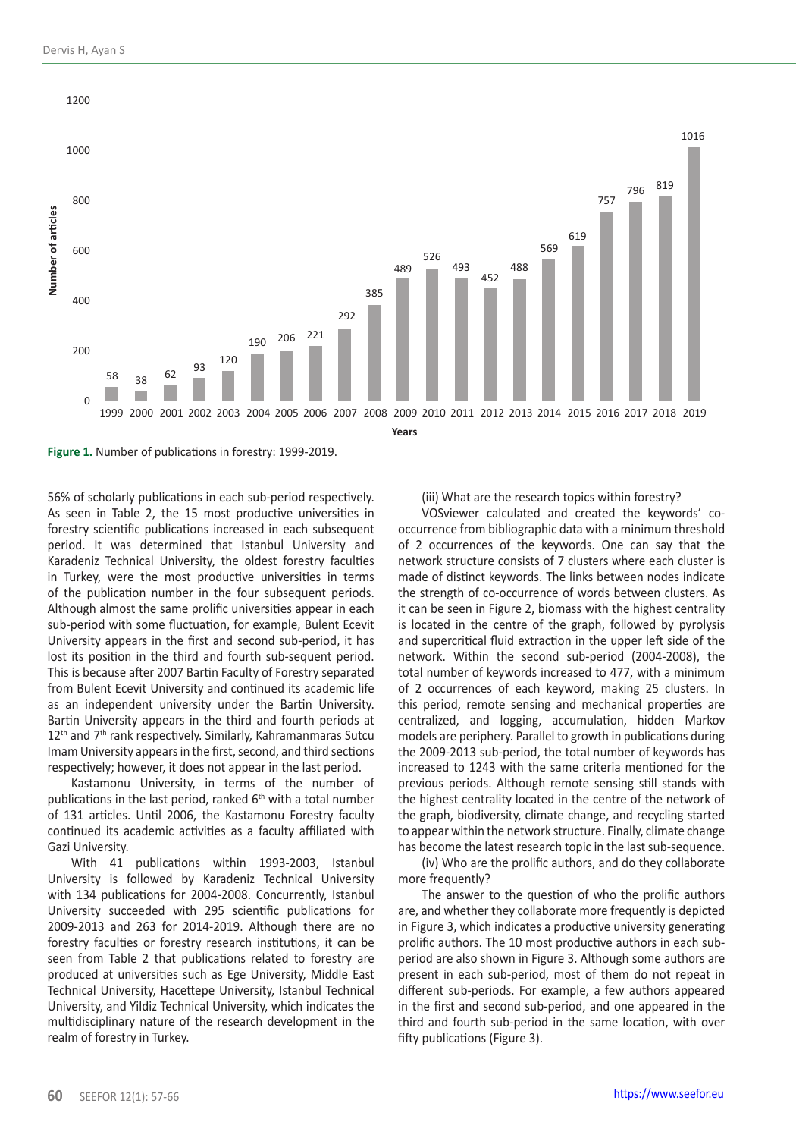



56% of scholarly publications in each sub-period respectively. As seen in Table 2, the 15 most productive universities in forestry scientific publications increased in each subsequent period. It was determined that Istanbul University and Karadeniz Technical University, the oldest forestry faculties in Turkey, were the most productive universities in terms of the publication number in the four subsequent periods. Although almost the same prolific universities appear in each sub-period with some fluctuation, for example, Bulent Ecevit University appears in the first and second sub-period, it has lost its position in the third and fourth sub-sequent period. This is because after 2007 Bartin Faculty of Forestry separated from Bulent Ecevit University and continued its academic life as an independent university under the Bartin University. Bartin University appears in the third and fourth periods at 12<sup>th</sup> and 7<sup>th</sup> rank respectively. Similarly, Kahramanmaras Sutcu Imam University appears in the first, second, and third sections respectively; however, it does not appear in the last period.

Kastamonu University, in terms of the number of publications in the last period, ranked  $6<sup>th</sup>$  with a total number of 131 articles. Until 2006, the Kastamonu Forestry faculty continued its academic activities as a faculty affiliated with Gazi University.

With 41 publications within 1993-2003, Istanbul University is followed by Karadeniz Technical University with 134 publications for 2004-2008. Concurrently, Istanbul University succeeded with 295 scientific publications for 2009-2013 and 263 for 2014-2019. Although there are no forestry faculties or forestry research institutions, it can be seen from Table 2 that publications related to forestry are produced at universities such as Ege University, Middle East Technical University, Hacettepe University, Istanbul Technical University, and Yildiz Technical University, which indicates the multidisciplinary nature of the research development in the realm of forestry in Turkey.

(iii) What are the research topics within forestry?

VOSviewer calculated and created the keywords' cooccurrence from bibliographic data with a minimum threshold of 2 occurrences of the keywords. One can say that the network structure consists of 7 clusters where each cluster is made of distinct keywords. The links between nodes indicate the strength of co-occurrence of words between clusters. As it can be seen in Figure 2, biomass with the highest centrality is located in the centre of the graph, followed by pyrolysis and supercritical fluid extraction in the upper left side of the network. Within the second sub-period (2004-2008), the total number of keywords increased to 477, with a minimum of 2 occurrences of each keyword, making 25 clusters. In this period, remote sensing and mechanical properties are centralized, and logging, accumulation, hidden Markov models are periphery. Parallel to growth in publications during the 2009-2013 sub-period, the total number of keywords has increased to 1243 with the same criteria mentioned for the previous periods. Although remote sensing still stands with the highest centrality located in the centre of the network of the graph, biodiversity, climate change, and recycling started to appear within the network structure. Finally, climate change has become the latest research topic in the last sub-sequence.

(iv) Who are the prolific authors, and do they collaborate more frequently?

The answer to the question of who the prolific authors are, and whether they collaborate more frequently is depicted in Figure 3, which indicates a productive university generating prolific authors. The 10 most productive authors in each subperiod are also shown in Figure 3. Although some authors are present in each sub-period, most of them do not repeat in different sub-periods. For example, a few authors appeared in the first and second sub-period, and one appeared in the third and fourth sub-period in the same location, with over fifty publications (Figure 3).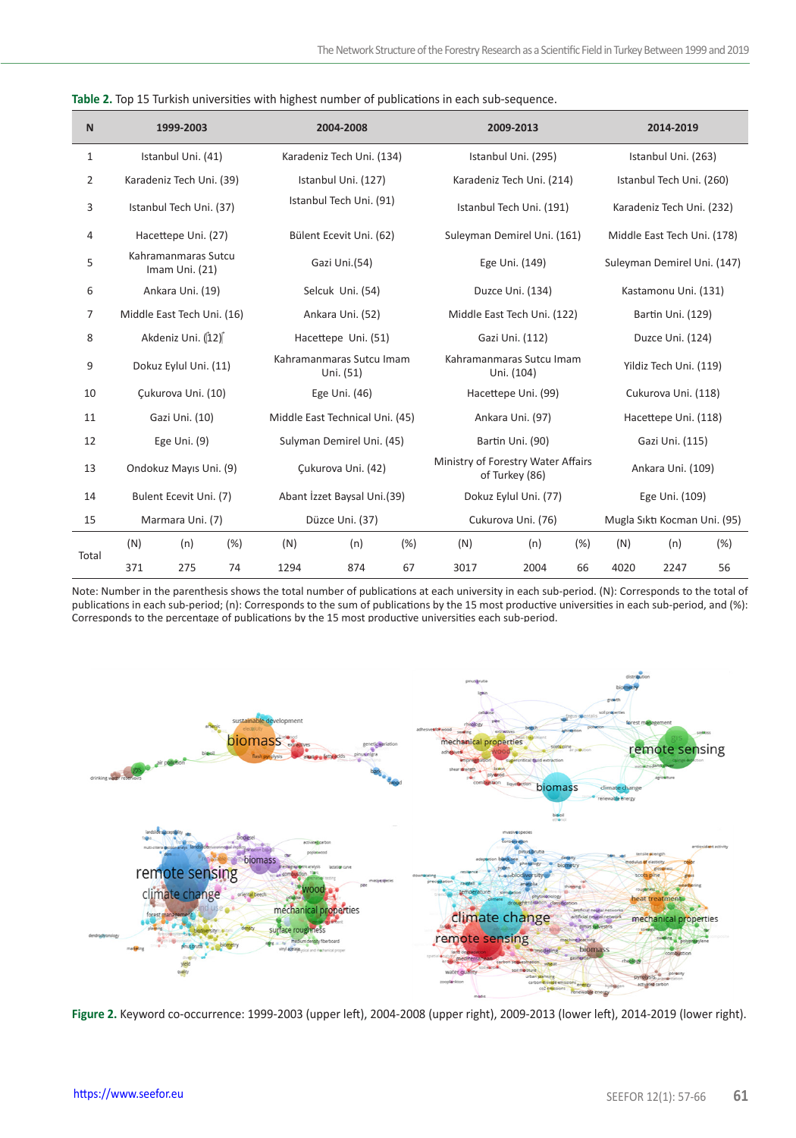| $\mathsf{N}$ |                                       | 1999-2003                |                         |                                 | 2004-2008                                                          |                       | 2009-2013                    |                             | 2014-2019                   |                          |      |      |
|--------------|---------------------------------------|--------------------------|-------------------------|---------------------------------|--------------------------------------------------------------------|-----------------------|------------------------------|-----------------------------|-----------------------------|--------------------------|------|------|
| 1            |                                       | Istanbul Uni. (41)       |                         |                                 | Karadeniz Tech Uni. (134)                                          |                       | Istanbul Uni. (295)          |                             | Istanbul Uni. (263)         |                          |      |      |
| 2            |                                       | Karadeniz Tech Uni. (39) |                         |                                 | Istanbul Uni. (127)                                                |                       |                              | Karadeniz Tech Uni. (214)   |                             | Istanbul Tech Uni. (260) |      |      |
| 3            | Istanbul Tech Uni. (37)               |                          | Istanbul Tech Uni. (91) |                                 | Istanbul Tech Uni. (191)                                           |                       |                              | Karadeniz Tech Uni. (232)   |                             |                          |      |      |
| 4            |                                       | Hacettepe Uni. (27)      |                         |                                 | Bülent Ecevit Uni. (62)                                            |                       | Suleyman Demirel Uni. (161)  |                             | Middle East Tech Uni. (178) |                          |      |      |
| 5            | Kahramanmaras Sutcu<br>Imam Uni. (21) |                          |                         | Gazi Uni.(54)                   |                                                                    | Ege Uni. (149)        |                              | Suleyman Demirel Uni. (147) |                             |                          |      |      |
| 6            | Ankara Uni. (19)                      |                          |                         | Selcuk Uni. (54)                |                                                                    | Duzce Uni. (134)      |                              | Kastamonu Uni. (131)        |                             |                          |      |      |
| 7            | Middle East Tech Uni. (16)            |                          | Ankara Uni. (52)        |                                 | Middle East Tech Uni. (122)                                        |                       |                              | Bartin Uni. (129)           |                             |                          |      |      |
| 8            | Akdeniz Uni. (12)                     |                          |                         | Hacettepe Uni. (51)             | Gazi Uni. (112)                                                    |                       |                              | Duzce Uni. (124)            |                             |                          |      |      |
| 9            | Dokuz Eylul Uni. (11)                 |                          |                         | Uni. (51)                       | Kahramanmaras Sutcu Imam<br>Kahramanmaras Sutcu Imam<br>Uni. (104) |                       |                              | Yildiz Tech Uni. (119)      |                             |                          |      |      |
| 10           |                                       | Cukurova Uni. (10)       |                         |                                 | Ege Uni. (46)                                                      |                       | Hacettepe Uni. (99)          |                             | Cukurova Uni. (118)         |                          |      |      |
| 11           | Gazi Uni. (10)                        |                          |                         | Middle East Technical Uni. (45) |                                                                    | Ankara Uni. (97)      |                              | Hacettepe Uni. (118)        |                             |                          |      |      |
| 12           | Ege Uni. (9)                          |                          |                         | Sulyman Demirel Uni. (45)       |                                                                    | Bartin Uni. (90)      |                              | Gazi Uni. (115)             |                             |                          |      |      |
| 13           | Ondokuz Mayıs Uni. (9)                |                          | Cukurova Uni. (42)      |                                 | Ministry of Forestry Water Affairs<br>of Turkey (86)               |                       |                              | Ankara Uni. (109)           |                             |                          |      |      |
| 14           | Bulent Ecevit Uni. (7)                |                          |                         | Abant İzzet Baysal Uni.(39)     |                                                                    | Dokuz Eylul Uni. (77) |                              |                             | Ege Uni. (109)              |                          |      |      |
| 15           | Marmara Uni. (7)                      |                          | Düzce Uni. (37)         |                                 | Cukurova Uni. (76)                                                 |                       | Mugla Sıktı Kocman Uni. (95) |                             |                             |                          |      |      |
|              | (N)                                   | (n)                      | (% )                    | (N)                             | (n)                                                                | (%)                   | (N)                          | (n)                         | (% )                        | (N)                      | (n)  | (% ) |
| Total        | 371                                   | 275                      | 74                      | 1294                            | 874                                                                | 67                    | 3017                         | 2004                        | 66                          | 4020                     | 2247 | 56   |

**Table 2.** Top 15 Turkish universities with highest number of publications in each sub-sequence.

Note: Number in the parenthesis shows the total number of publications at each university in each sub-period. (N): Corresponds to the total of publications in each sub-period; (n): Corresponds to the sum of publications by the 15 most productive universities in each sub-period, and (%): Corresponds to the percentage of publications by the 15 most productive universities each sub-period.



**Figure 2.** Keyword co-occurrence: 1999-2003 (upper left), 2004-2008 (upper right), 2009-2013 (lower left), 2014-2019 (lower right).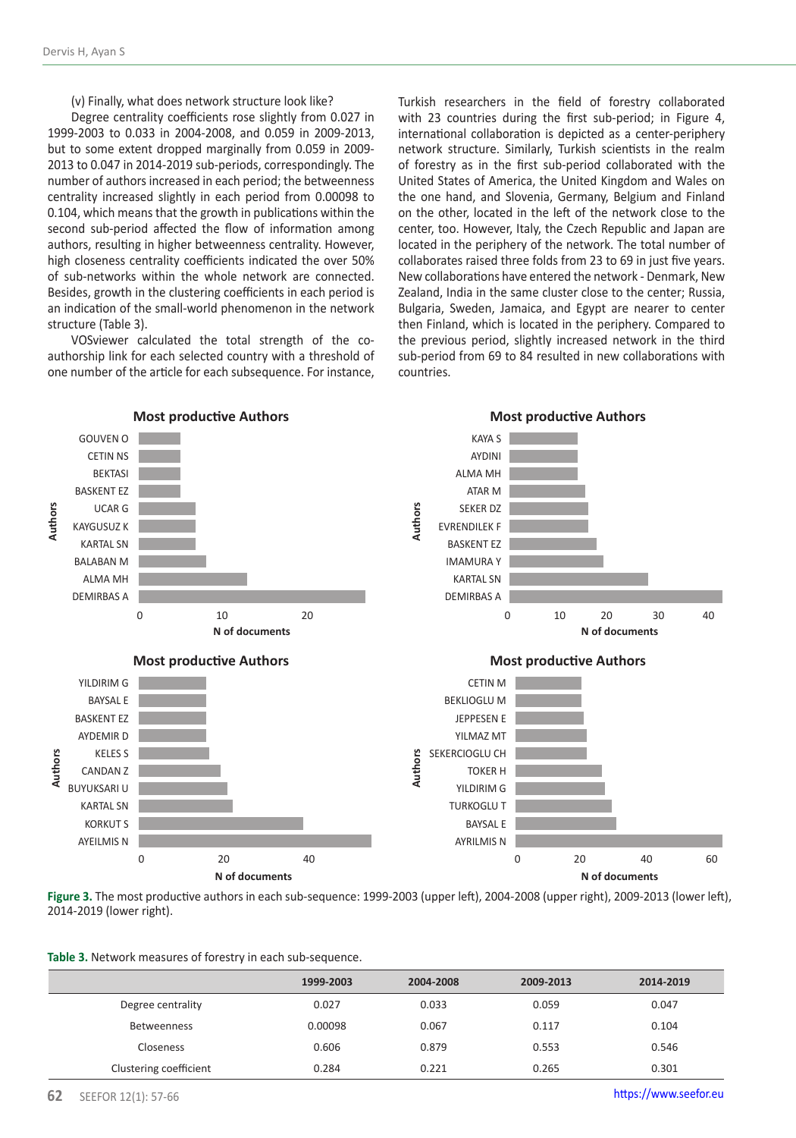(v) Finally, what does network structure look like?

Degree centrality coefficients rose slightly from 0.027 in 1999-2003 to 0.033 in 2004-2008, and 0.059 in 2009-2013, but to some extent dropped marginally from 0.059 in 2009- 2013 to 0.047 in 2014-2019 sub-periods, correspondingly. The number of authors increased in each period; the betweenness centrality increased slightly in each period from 0.00098 to 0.104, which means that the growth in publications within the second sub-period affected the flow of information among authors, resulting in higher betweenness centrality. However, high closeness centrality coefficients indicated the over 50% of sub-networks within the whole network are connected. Besides, growth in the clustering coefficients in each period is an indication of the small-world phenomenon in the network structure (Table 3).

VOSviewer calculated the total strength of the coauthorship link for each selected country with a threshold of one number of the article for each subsequence. For instance,

Turkish researchers in the field of forestry collaborated with 23 countries during the first sub-period; in Figure 4, international collaboration is depicted as a center-periphery network structure. Similarly, Turkish scientists in the realm of forestry as in the first sub-period collaborated with the United States of America, the United Kingdom and Wales on the one hand, and Slovenia, Germany, Belgium and Finland on the other, located in the left of the network close to the center, too. However, Italy, the Czech Republic and Japan are located in the periphery of the network. The total number of collaborates raised three folds from 23 to 69 in just five years. New collaborations have entered the network - Denmark, New Zealand, India in the same cluster close to the center; Russia, Bulgaria, Sweden, Jamaica, and Egypt are nearer to center then Finland, which is located in the periphery. Compared to the previous period, slightly increased network in the third sub-period from 69 to 84 resulted in new collaborations with countries.



**Figure 3.** The most productive authors in each sub-sequence: 1999-2003 (upper left), 2004-2008 (upper right), 2009-2013 (lower left),

|                        | 1999-2003 | 2004-2008 | 2009-2013 | 2014-2019 |
|------------------------|-----------|-----------|-----------|-----------|
| Degree centrality      | 0.027     | 0.033     | 0.059     | 0.047     |
| Betweenness            | 0.00098   | 0.067     | 0.117     | 0.104     |
| Closeness              | 0.606     | 0.879     | 0.553     | 0.546     |
| Clustering coefficient | 0.284     | 0.221     | 0.265     | 0.301     |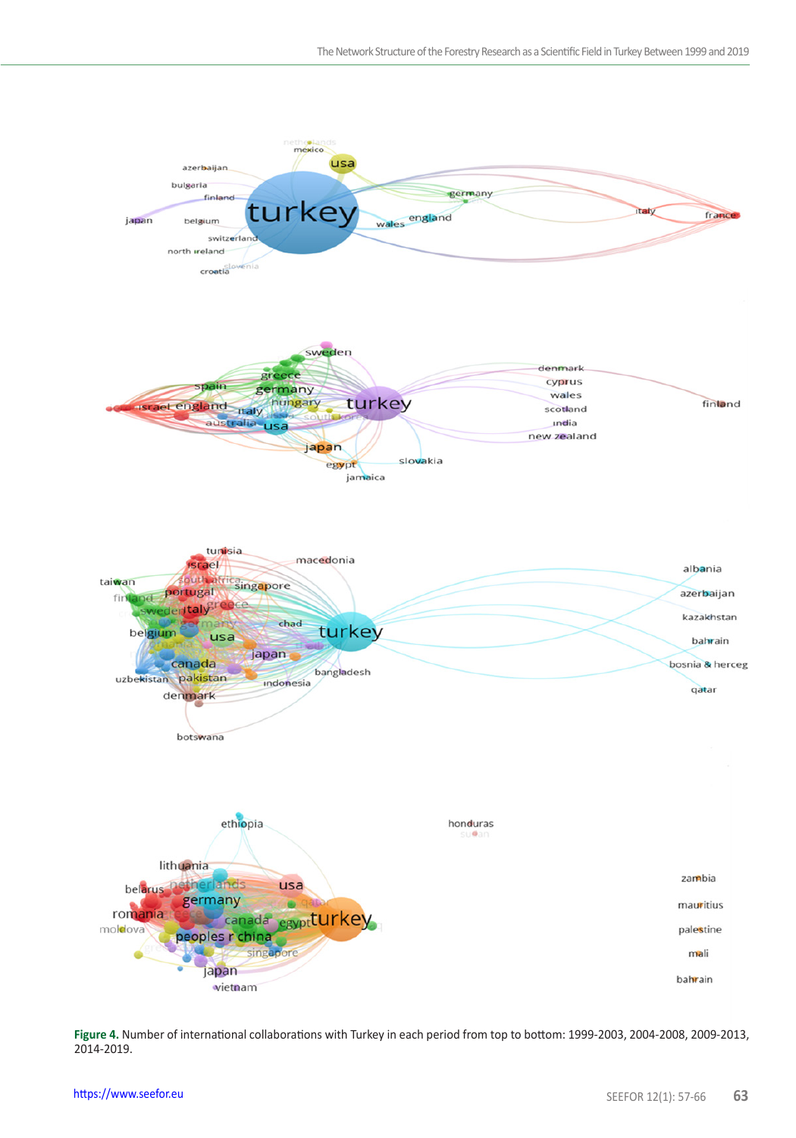

**Figure 4.** Number of international collaborations with Turkey in each period from top to bottom: 1999-2003, 2004-2008, 2009-2013, 2014-2019.<br> **PHITEN 2019.**<br> **Phitters://www.seefor.eu**<br> **SEEFOR 12(1): 57-66** 63 2014-2019.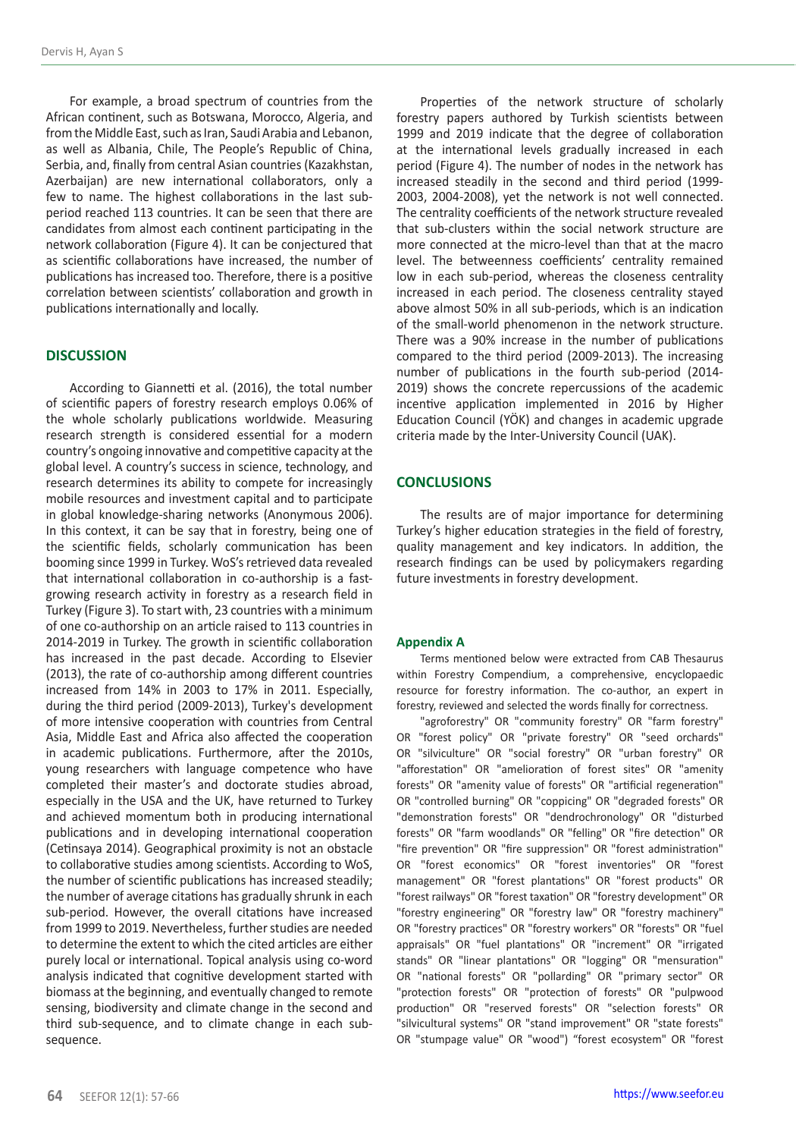For example, a broad spectrum of countries from the African continent, such as Botswana, Morocco, Algeria, and from the Middle East, such as Iran, Saudi Arabia and Lebanon, as well as Albania, Chile, The People's Republic of China, Serbia, and, finally from central Asian countries (Kazakhstan, Azerbaijan) are new international collaborators, only a few to name. The highest collaborations in the last subperiod reached 113 countries. It can be seen that there are candidates from almost each continent participating in the network collaboration (Figure 4). It can be conjectured that as scientific collaborations have increased, the number of publications has increased too. Therefore, there is a positive correlation between scientists' collaboration and growth in publications internationally and locally.

## **DISCUSSION**

According to Giannetti et al. (2016), the total number of scientific papers of forestry research employs 0.06% of the whole scholarly publications worldwide. Measuring research strength is considered essential for a modern country's ongoing innovative and competitive capacity at the global level. A country's success in science, technology, and research determines its ability to compete for increasingly mobile resources and investment capital and to participate in global knowledge-sharing networks (Anonymous 2006). In this context, it can be say that in forestry, being one of the scientific fields, scholarly communication has been booming since 1999 in Turkey. WoS's retrieved data revealed that international collaboration in co-authorship is a fastgrowing research activity in forestry as a research field in Turkey (Figure 3). To start with, 23 countries with a minimum of one co-authorship on an article raised to 113 countries in 2014-2019 in Turkey. The growth in scientific collaboration has increased in the past decade. According to Elsevier (2013), the rate of co-authorship among different countries increased from 14% in 2003 to 17% in 2011. Especially, during the third period (2009-2013), Turkey's development of more intensive cooperation with countries from Central Asia, Middle East and Africa also affected the cooperation in academic publications. Furthermore, after the 2010s, young researchers with language competence who have completed their master's and doctorate studies abroad, especially in the USA and the UK, have returned to Turkey and achieved momentum both in producing international publications and in developing international cooperation (Cetinsaya 2014). Geographical proximity is not an obstacle to collaborative studies among scientists. According to WoS, the number of scientific publications has increased steadily; the number of average citations has gradually shrunk in each sub-period. However, the overall citations have increased from 1999 to 2019. Nevertheless, further studies are needed to determine the extent to which the cited articles are either purely local or international. Topical analysis using co-word analysis indicated that cognitive development started with biomass at the beginning, and eventually changed to remote sensing, biodiversity and climate change in the second and third sub-sequence, and to climate change in each subsequence.

Properties of the network structure of scholarly forestry papers authored by Turkish scientists between 1999 and 2019 indicate that the degree of collaboration at the international levels gradually increased in each period (Figure 4). The number of nodes in the network has increased steadily in the second and third period (1999- 2003, 2004-2008), yet the network is not well connected. The centrality coefficients of the network structure revealed that sub-clusters within the social network structure are more connected at the micro-level than that at the macro level. The betweenness coefficients' centrality remained low in each sub-period, whereas the closeness centrality increased in each period. The closeness centrality stayed above almost 50% in all sub-periods, which is an indication of the small-world phenomenon in the network structure. There was a 90% increase in the number of publications compared to the third period (2009-2013). The increasing number of publications in the fourth sub-period (2014- 2019) shows the concrete repercussions of the academic incentive application implemented in 2016 by Higher Education Council (YÖK) and changes in academic upgrade criteria made by the Inter-University Council (UAK).

# **CONCLUSIONS**

The results are of major importance for determining Turkey's higher education strategies in the field of forestry, quality management and key indicators. In addition, the research findings can be used by policymakers regarding future investments in forestry development.

#### **Appendix A**

Terms mentioned below were extracted from CAB Thesaurus within Forestry Compendium, a comprehensive, encyclopaedic resource for forestry information. The co-author, an expert in forestry, reviewed and selected the words finally for correctness.

"agroforestry" OR "community forestry" OR "farm forestry" OR "forest policy" OR "private forestry" OR "seed orchards" OR "silviculture" OR "social forestry" OR "urban forestry" OR "afforestation" OR "amelioration of forest sites" OR "amenity forests" OR "amenity value of forests" OR "artificial regeneration" OR "controlled burning" OR "coppicing" OR "degraded forests" OR "demonstration forests" OR "dendrochronology" OR "disturbed forests" OR "farm woodlands" OR "felling" OR "fire detection" OR "fire prevention" OR "fire suppression" OR "forest administration" OR "forest economics" OR "forest inventories" OR "forest management" OR "forest plantations" OR "forest products" OR "forest railways" OR "forest taxation" OR "forestry development" OR "forestry engineering" OR "forestry law" OR "forestry machinery" OR "forestry practices" OR "forestry workers" OR "forests" OR "fuel appraisals" OR "fuel plantations" OR "increment" OR "irrigated stands" OR "linear plantations" OR "logging" OR "mensuration" OR "national forests" OR "pollarding" OR "primary sector" OR "protection forests" OR "protection of forests" OR "pulpwood production" OR "reserved forests" OR "selection forests" OR "silvicultural systems" OR "stand improvement" OR "state forests" OR "stumpage value" OR "wood") "forest ecosystem" OR "forest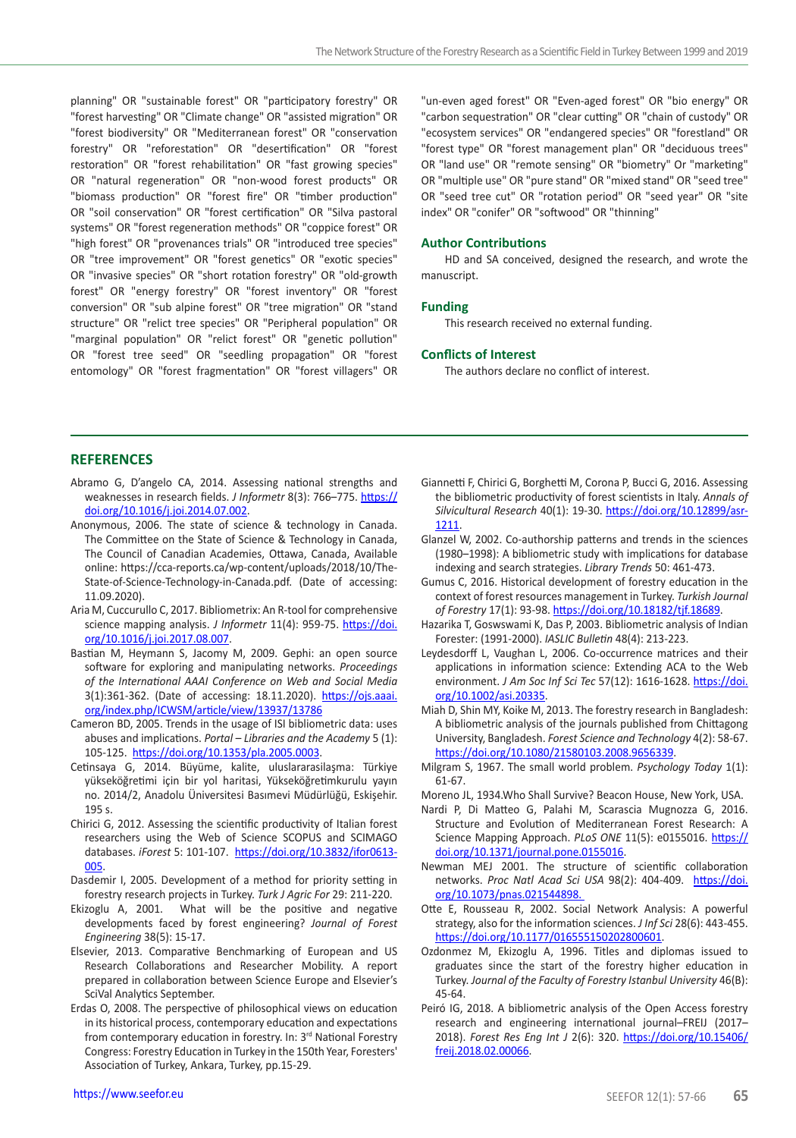planning" OR "sustainable forest" OR "participatory forestry" OR "forest harvesting" OR "Climate change" OR "assisted migration" OR "forest biodiversity" OR "Mediterranean forest" OR "conservation forestry" OR "reforestation" OR "desertification" OR "forest restoration" OR "forest rehabilitation" OR "fast growing species" OR "natural regeneration" OR "non-wood forest products" OR "biomass production" OR "forest fire" OR "timber production" OR "soil conservation" OR "forest certification" OR "Silva pastoral systems" OR "forest regeneration methods" OR "coppice forest" OR "high forest" OR "provenances trials" OR "introduced tree species" OR "tree improvement" OR "forest genetics" OR "exotic species" OR "invasive species" OR "short rotation forestry" OR "old-growth forest" OR "energy forestry" OR "forest inventory" OR "forest conversion" OR "sub alpine forest" OR "tree migration" OR "stand structure" OR "relict tree species" OR "Peripheral population" OR "marginal population" OR "relict forest" OR "genetic pollution" OR "forest tree seed" OR "seedling propagation" OR "forest entomology" OR "forest fragmentation" OR "forest villagers" OR "un-even aged forest" OR "Even-aged forest" OR "bio energy" OR "carbon sequestration" OR "clear cutting" OR "chain of custody" OR "ecosystem services" OR "endangered species" OR "forestland" OR "forest type" OR "forest management plan" OR "deciduous trees" OR "land use" OR "remote sensing" OR "biometry" Or "marketing" OR "multiple use" OR "pure stand" OR "mixed stand" OR "seed tree" OR "seed tree cut" OR "rotation period" OR "seed year" OR "site index" OR "conifer" OR "softwood" OR "thinning"

## **Author Contributions**

HD and SA conceived, designed the research, and wrote the manuscript.

### **Funding**

This research received no external funding.

#### **Conflicts of Interest**

The authors declare no conflict of interest.

## **REFERENCES**

- weaknesses in research fields. *J Informetr* 8(3): 766–775. https:// doi.org/10.1016/j.joi.2014.07.002.
- Abramo G, Dragois CA, 2014. Assessing national issues of Gaussing nation (2): early 10, early 10, early 10, early 10, early 10, early 10, early 10, early 10, early 10, early 10, early 10, early 10, early 10, early 10, ear Anonymous, 2006. The state of science & technology in Canada. The Committee on the State of Science & Technology in Canada, The Council of Canadian Academies, Ottawa, Canada, Available online: https://cca-reports.ca/wp-content/uploads/2018/10/The-State-of-Science-Technology-in-Canada.pdf. (Date of accessing: 11.09.2020).
- Aria M, Cuccurullo C, 2017. Bibliometrix: An R-tool for comprehensive science mapping analysis. *J Informetr* 11(4): 959-75. https://doi. org/10.1016/j.joi.2017.08.007.
- Bastian M, Heymann S, Jacomy M, 2009. Gephi: an open source software for exploring and manipulating networks. *Proceedings of the International AAAI Conference on Web and Social Media* 3(1):361-362. (Date of accessing: 18.11.2020). https://ojs.aaai. org/index.php/ICWSM/article/view/13937/13786
- Cameron BD, 2005. Trends in the usage of ISI bibliometric data: uses abuses and implications. *Portal – Libraries and the Academy* 5 (1): 105-125. https://doi.org/10.1353/pla.2005.0003.
- Cetinsaya G, 2014. Büyüme, kalite, uluslararasilaşma: Türkiye yükseköğretimi için bir yol haritasi, Yükseköğretimkurulu yayın no. 2014/2, Anadolu Üniversitesi Basımevi Müdürlüğü, Eskişehir. 195 s.
- Chirici G, 2012. Assessing the scientific productivity of Italian forest researchers using the Web of Science SCOPUS and SCIMAGO databases. *iForest* 5: 101-107. https://doi.org/10.3832/ifor0613- 005.
- Dasdemir I, 2005. Development of a method for priority setting in forestry research projects in Turkey. *Turk J Agric For* 29: 211-220.
- Ekizoglu A, 2001. What will be the positive and negative developments faced by forest engineering? *Journal of Forest Engineering* 38(5): 15-17.
- Elsevier, 2013. Comparative Benchmarking of European and US Research Collaborations and Researcher Mobility. A report prepared in collaboration between Science Europe and Elsevier's SciVal Analytics September.
- Erdas O, 2008. The perspective of philosophical views on education in its historical process, contemporary education and expectations from contemporary education in forestry. In: 3<sup>rd</sup> National Forestry Congress: Forestry Education in Turkey in the 150th Year, Foresters' Association of Turkey, Ankara, Turkey, pp.15-29.
- Giannetti F, Chirici G, Borghetti M, Corona P, Bucci G, 2016. Assessing the bibliometric productivity of forest scientists in Italy. *Annals of Silvicultural Research* 40(1): 19-30. https://doi.org/10.12899/asr-1211.
- Glanzel W, 2002. Co-authorship patterns and trends in the sciences (1980–1998): A bibliometric study with implications for database indexing and search strategies. *Library Trends* 50: 461-473.
- Gumus C, 2016. Historical development of forestry education in the context of forest resources management in Turkey. *Turkish Journal of Forestry* 17(1): 93-98. https://doi.org/10.18182/tjf.18689.
- Hazarika T, Goswswami K, Das P, 2003. Bibliometric analysis of Indian Forester: (1991-2000). *IASLIC Bulletin* 48(4): 213-223.
- Leydesdorff L, Vaughan L, 2006. Co-occurrence matrices and their applications in information science: Extending ACA to the Web environment. *J Am Soc Inf Sci Tec* 57(12): 1616-1628. https://doi. org/10.1002/asi.20335.
- Miah D, Shin MY, Koike M, 2013. The forestry research in Bangladesh: A bibliometric analysis of the journals published from Chittagong University, Bangladesh. *Forest Science and Technology* 4(2): 58-67. https://doi.org/10.1080/21580103.2008.9656339.
- Milgram S, 1967. The small world problem. *Psychology Today* 1(1): 61-67.
- Moreno JL, 1934.Who Shall Survive? Beacon House, New York, USA.
- Nardi P, Di Matteo G, Palahi M, Scarascia Mugnozza G, 2016. Structure and Evolution of Mediterranean Forest Research: A Science Mapping Approach. *PLoS ONE* 11(5): e0155016. https:// doi.org/10.1371/journal.pone.0155016.
- Newman MEJ 2001. The structure of scientific collaboration networks. *Proc Natl Acad Sci USA* 98(2): 404-409. https://doi. org/10.1073/pnas.021544898.
- Otte E, Rousseau R, 2002. Social Network Analysis: A powerful strategy, also for the information sciences. *J Inf Sci* 28(6): 443-455. https://doi.org/10.1177/016555150202800601.
- Ozdonmez M, Ekizoglu A, 1996. Titles and diplomas issued to graduates since the start of the forestry higher education in Turkey. *Journal of the Faculty of Forestry Istanbul University* 46(B): 45-64.
- Peiró IG, 2018. A bibliometric analysis of the Open Access forestry research and engineering international journal–FREIJ (2017– 2018). *Forest Res Eng Int J* 2(6): 320. https://doi.org/10.15406/ freij.2018.02.00066.